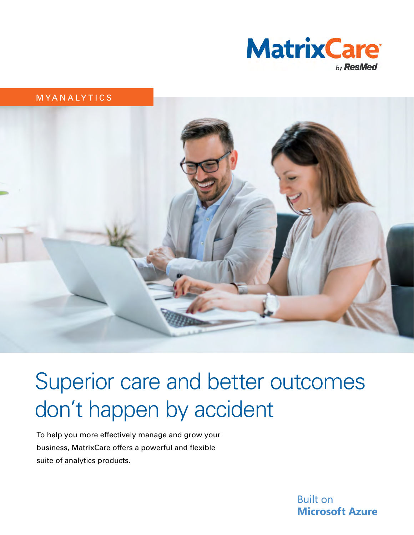

#### MYANALYTICS



# Superior care and better outcomes don't happen by accident

To help you more effectively manage and grow your business, MatrixCare offers a powerful and flexible suite of analytics products.

> **Built on Microsoft Azure**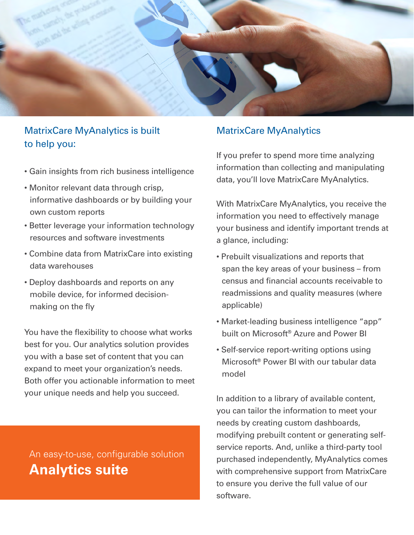

# MatrixCare MyAnalytics is built to help you:

- Gain insights from rich business intelligence
- Monitor relevant data through crisp, informative dashboards or by building your own custom reports
- Better leverage your information technology resources and software investments
- Combine data from MatrixCare into existing data warehouses
- Deploy dashboards and reports on any mobile device, for informed decisionmaking on the fly

You have the flexibility to choose what works best for you. Our analytics solution provides you with a base set of content that you can expand to meet your organization's needs. Both offer you actionable information to meet your unique needs and help you succeed.

# An easy-to-use, configurable solution **Analytics suite**

## MatrixCare MyAnalytics

If you prefer to spend more time analyzing information than collecting and manipulating data, you'll love MatrixCare MyAnalytics.

With MatrixCare MyAnalytics, you receive the information you need to effectively manage your business and identify important trends at a glance, including:

- Prebuilt visualizations and reports that span the key areas of your business – from census and financial accounts receivable to readmissions and quality measures (where applicable)
- Market-leading business intelligence "app" built on Microsoft® Azure and Power BI
- Self-service report-writing options using Microsoft® Power BI with our tabular data model

In addition to a library of available content, you can tailor the information to meet your needs by creating custom dashboards, modifying prebuilt content or generating selfservice reports. And, unlike a third-party tool purchased independently, MyAnalytics comes with comprehensive support from MatrixCare to ensure you derive the full value of our software.